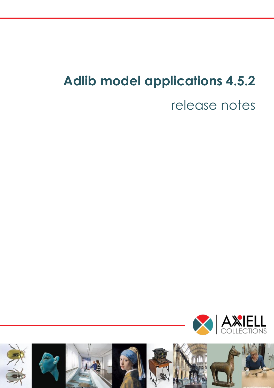# **Adlib model applications 4.5.2**

# release notes



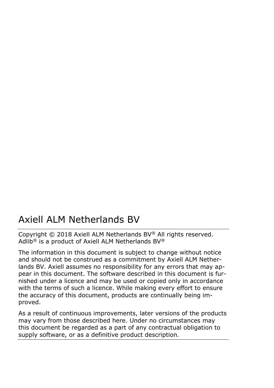### Axiell ALM Netherlands BV

Copyright © 2018 Axiell ALM Netherlands BV® All rights reserved. Adlib® is a product of Axiell ALM Netherlands BV®

The information in this document is subject to change without notice and should not be construed as a commitment by Axiell ALM Netherlands BV. Axiell assumes no responsibility for any errors that may appear in this document. The software described in this document is furnished under a licence and may be used or copied only in accordance with the terms of such a licence. While making every effort to ensure the accuracy of this document, products are continually being improved.

As a result of continuous improvements, later versions of the products may vary from those described here. Under no circumstances may this document be regarded as a part of any contractual obligation to supply software, or as a definitive product description.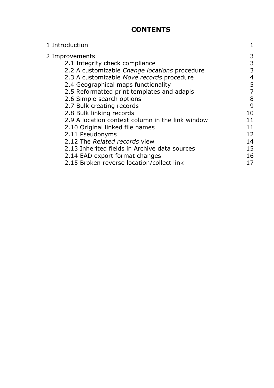#### **CONTENTS**

| 1 Introduction                                   | 1  |
|--------------------------------------------------|----|
| 2 Improvements                                   | 3  |
| 2.1 Integrity check compliance                   | 3  |
| 2.2 A customizable Change locations procedure    | 3  |
| 2.3 A customizable Move records procedure        | 4  |
| 2.4 Geographical maps functionality              | 5  |
| 2.5 Reformatted print templates and adapls       |    |
| 2.6 Simple search options                        | 8  |
| 2.7 Bulk creating records                        | 9  |
| 2.8 Bulk linking records                         | 10 |
| 2.9 A location context column in the link window | 11 |
| 2.10 Original linked file names                  | 11 |
| 2.11 Pseudonyms                                  | 12 |
| 2.12 The Related records view                    | 14 |
| 2.13 Inherited fields in Archive data sources    | 15 |
| 2.14 EAD export format changes                   | 16 |
| 2.15 Broken reverse location/collect link        | 17 |
|                                                  |    |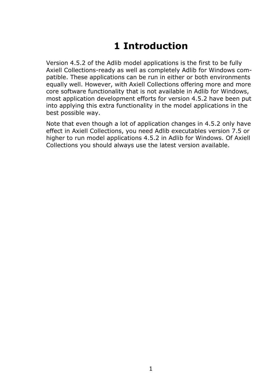## **1 Introduction**

Version 4.5.2 of the Adlib model applications is the first to be fully Axiell Collections-ready as well as completely Adlib for Windows compatible. These applications can be run in either or both environments equally well. However, with Axiell Collections offering more and more core software functionality that is not available in Adlib for Windows, most application development efforts for version 4.5.2 have been put into applying this extra functionality in the model applications in the best possible way.

Note that even though a lot of application changes in 4.5.2 only have effect in Axiell Collections, you need Adlib executables version 7.5 or higher to run model applications 4.5.2 in Adlib for Windows. Of Axiell Collections you should always use the latest version available.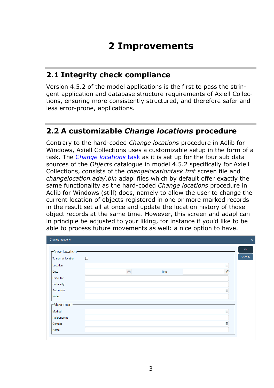## **2 Improvements**

#### **2.1 Integrity check compliance**

Version 4.5.2 of the model applications is the first to pass the stringent application and database structure requirements of Axiell Collections, ensuring more consistently structured, and therefore safer and less error-prone, applications.

#### **2.2 A customizable** *Change locations* **procedure**

Contrary to the hard-coded *Change locations* procedure in Adlib for Windows, Axiell Collections uses a customizable setup in the form of a task. The C*[hange locations](http://documentation.axiell.com/alm/collections/en/index.html?ac_dialogchangelocations.html)* task as it is set up for the four sub data sources of the *Objects* catalogue in model 4.5.2 specifically for Axiell Collections, consists of the *changelocationtask.fmt* screen file and *changelocation.ada/.bin* adapl files which by default offer exactly the same functionality as the hard-coded *Change locations* procedure in Adlib for Windows (still) does, namely to allow the user to change the current location of objects registered in one or more marked records in the result set all at once and update the location history of those object records at the same time. However, this screen and adapl can in principle be adjusted to your liking, for instance if you'd like to be able to process future movements as well: a nice option to have.

| <b>Change locations</b> |        |   |      |         | $\times$  |
|-------------------------|--------|---|------|---------|-----------|
| -New location-          |        |   |      |         | <b>OK</b> |
| To normal location      | $\Box$ |   |      |         | CANCEL    |
| Location                |        |   |      | 挂       |           |
| Date                    |        | 門 | Time | $\odot$ |           |
| Executor                |        |   |      |         |           |
| Suitability             |        |   |      |         |           |
| Authoriser              |        |   |      | 挂       |           |
| Notes                   |        |   |      |         |           |
| -Movement-              |        |   |      |         |           |
| Method                  |        |   |      | 挂       |           |
| Reference no.           |        |   |      |         |           |
| Contact                 |        |   |      | 挂       |           |
| Notes                   |        |   |      |         |           |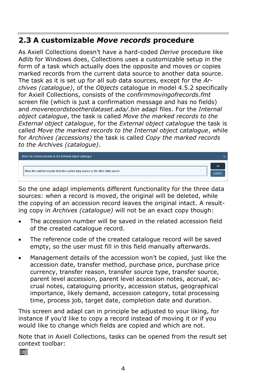#### **2.3 A customizable** *Move records* **procedure**

As Axiell Collections doesn't have a hard-coded *Derive* procedure like Adlib for Windows does, Collections uses a customizable setup in the form of a task which actually does the opposite and moves or copies marked records from the current data source to another data source. The task as it is set up for all sub data sources, except for the *Archives (catalogue)*, of the *Objects* catalogue in model 4.5.2 specifically for Axiell Collections, consists of the *confirmmovingofrecords.fmt* screen file (which is just a confirmation message and has no fields) and *moverecordstootherdataset.ada/.bin* adapl files. For the *Internal object catalogue*, the task is called *Move the marked records to the External object catalogue*, for the *External object catalogue* the task is called *Move the marked records to the Internal object catalogue*, while for *Archives (accessions)* the task is called *Copy the marked records to the Archives (catalogue)*.

| Move the marked records to the External object catalogue                      |    |
|-------------------------------------------------------------------------------|----|
|                                                                               | OK |
| Move the marked records from the current data source to the other data source |    |

So the one adapl implements different functionality for the three data sources: when a record is moved, the original will be deleted, while the copying of an accession record leaves the original intact. A resulting copy in *Archives (catalogue)* will not be an exact copy though:

- The accession number will be saved in the related accession field of the created catalogue record.
- The reference code of the created catalogue record will be saved empty, so the user must fill in this field manually afterwards.
- Management details of the accession won't be copied, just like the accession date, transfer method, purchase price, purchase price currency, transfer reason, transfer source type, transfer source, parent level accession, parent level accession notes, accrual, accrual notes, cataloguing priority, accession status, geographical importance, likely demand, accession category, total processing time, process job, target date, completion date and duration.

This screen and adapl can in principle be adjusted to your liking, for instance if you'd like to copy a record instead of moving it or if you would like to change which fields are copied and which are not.

Note that in Axiell Collections, tasks can be opened from the result set context toolbar:

÷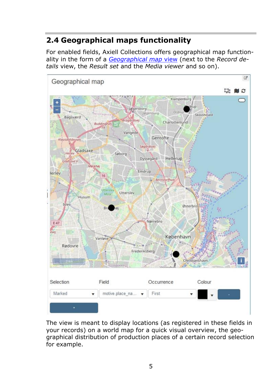### **2.4 Geographical maps functionality**

For enabled fields, Axiell Collections offers geographical map functionality in the form of a *[Geographical map](http://documentation.axiell.com/alm/collections/en/index.html?ac_viewsthegeographicalmap.html)* view (next to the *Record details* view, the *Result set* and the *Media viewer* and so on).



The view is meant to display locations (as registered in these fields in your records) on a world map for a quick visual overview, the geographical distribution of production places of a certain record selection for example.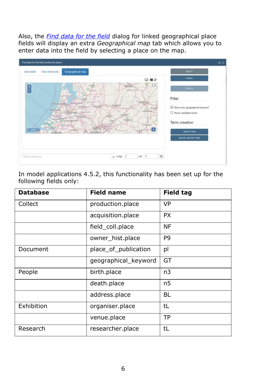Also, the *[Find data for the field](http://documentation.axiell.com/alm/collections/en/index.html?ac_dialogfinddataforthefield.html)* dialog for linked geographical place fields will display an extra *Geographical map* tab which allows you to enter data into the field by selecting a place on the map.



In model applications 4.5.2, this functionality has been set up for the following fields only:

| <b>Database</b> | <b>Field name</b>    | <b>Field tag</b> |
|-----------------|----------------------|------------------|
| Collect         | production.place     | VP               |
|                 | acquisition.place    | <b>PX</b>        |
|                 | field_coll.place     | NF               |
|                 | owner_hist.place     | P <sub>9</sub>   |
| Document        | place_of_publication | pl               |
|                 | geographical_keyword | GT               |
| People          | birth.place          | n3               |
|                 | death.place          | n5               |
|                 | address.place        | BL               |
| Exhibition      | organiser.place      | tL               |
|                 | venue.place          | TP               |
| Research        | researcher.place     | tL               |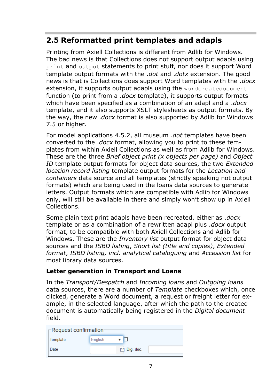#### **2.5 Reformatted print templates and adapls**

Printing from Axiell Collections is different from Adlib for Windows. The bad news is that Collections does not support output adapls using print and output statements to print stuff, nor does it support Word template output formats with the .*dot* and .*dotx* extension. The good news is that is Collections does support Word templates with the .*docx* extension, it supports output adapls using the wordcreatedocument function (to print from a .*docx* template), it supports output formats which have been specified as a combination of an adapl and a .*docx* template, and it also supports XSLT stylesheets as output formats. By the way, the new .*docx* format is also supported by Adlib for Windows 7.5 or higher.

For model applications 4.5.2, all museum .*dot* templates have been converted to the .*docx* format, allowing you to print to these templates from within Axiell Collections as well as from Adlib for Windows. These are the three *Brief object print (x objects per page)* and *Object ID* template output formats for object data sources, the two *Extended location record listing* template output formats for the *Location and containers* data source and all templates (strictly speaking not output formats) which are being used in the loans data sources to generate letters. Output formats which are compatible with Adlib for Windows only, will still be available in there and simply won't show up in Axiell Collections.

Some plain text print adapls have been recreated, either as .*docx* template or as a combination of a rewritten adapl plus .*docx* output format, to be compatible with both Axiell Collections and Adlib for Windows. These are the *Inventory list* output format for object data sources and the *ISBD listing*, *Short list (title and copies)*, *Extended format*, *ISBD listing, incl. analytical cataloguing* and *Accession list* for most library data sources.

#### **Letter generation in Transport and Loans**

In the *Transport/Despatch* and *Incoming loans* and *Outgoing loans* data sources, there are a number of *Template* checkboxes which, once clicked, generate a Word document, a request or freight letter for example, in the selected language, after which the path to the created document is automatically being registered in the *Digital document* field.

| $\Gamma$ Request confirmation- |             |  |
|--------------------------------|-------------|--|
| Template                       | English     |  |
| Date                           | 門 Dig. doc. |  |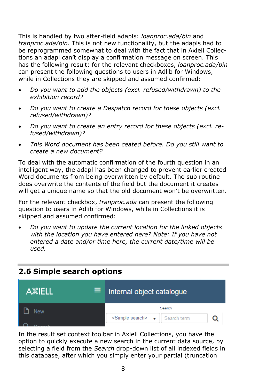This is handled by two after-field adapls: *loanproc.ada/bin* and *tranproc.ada/bin*. This is not new functionality, but the adapls had to be reprogrammed somewhat to deal with the fact that in Axiell Collections an adapl can't display a confirmation message on screen. This has the following result: for the relevant checkboxes, *loanproc.ada/bin* can present the following questions to users in Adlib for Windows, while in Collections they are skipped and assumed confirmed:

- *Do you want to add the objects (excl. refused/withdrawn) to the exhibition record?*
- *Do you want to create a Despatch record for these objects (excl. refused/withdrawn)?*
- *Do you want to create an entry record for these objects (excl. refused/withdrawn)?*
- *This Word document has been ceated before. Do you still want to create a new document?*

To deal with the automatic confirmation of the fourth question in an intelligent way, the adapl has been changed to prevent earlier created Word documents from being overwritten by default. The sub routine does overwrite the contents of the field but the document it creates will get a unique name so that the old document won't be overwritten.

For the relevant checkbox, *tranproc.ada* can present the following question to users in Adlib for Windows, while in Collections it is skipped and assumed confirmed:

• *Do you want to update the current location for the linked objects with the location you have entered here? Note: If you have not entered a date and/or time here, the current date/time will be used.*

#### **2.6 Simple search options**



In the result set context toolbar in Axiell Collections, you have the option to quickly execute a new search in the current data source, by selecting a field from the *Search* drop-down list of all indexed fields in this database, after which you simply enter your partial (truncation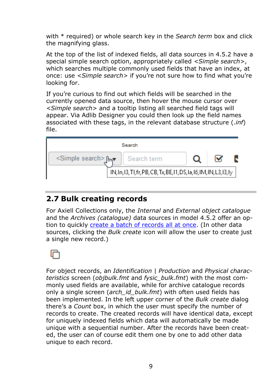with \* required) or whole search key in the *Search term* box and click the magnifying glass.

At the top of the list of indexed fields, all data sources in 4.5.2 have a special simple search option, appropriately called *<Simple search>*, which searches multiple commonly used fields that have an index, at once: use *<Simple search>* if you're not sure how to find what you're looking for.

If you're curious to find out which fields will be searched in the currently opened data source, then hover the mouse cursor over *<Simple search>* and a tooltip listing all searched field tags will appear. Via Adlib Designer you could then look up the field names associated with these tags, in the relevant database structure (.*inf*) file.



#### **2.7 Bulk creating records**

For Axiell Collections only, the *Internal* and *External object catalogue* and the *Archives (catalogue)* data sources in model 4.5.2 offer an option to quickly [create a batch of records all at once.](http://documentation.axiell.com/alm/collections/en/index.html?ac_dialogbulkcreate.html) (In other data sources, clicking the *Bulk create* icon will allow the user to create just a single new record.)



For object records, an *Identification | Production* and *Physical characteristics* screen (*objbulk.fmt* and *fysic\_bulk.fmt*) with the most commonly used fields are available, while for archive catalogue records only a single screen (*arch\_id\_bulk.fmt*) with often used fields has been implemented. In the left upper corner of the *Bulk create* dialog there's a *Count* box, in which the user must specify the number of records to create. The created records will have identical data, except for uniquely indexed fields which data will automatically be made unique with a sequential number. After the records have been created, the user can of course edit them one by one to add other data unique to each record.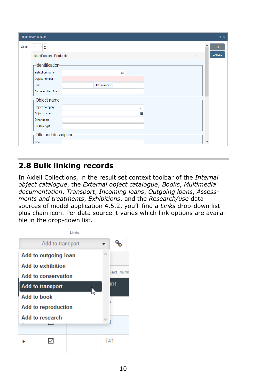|        | Bulk create records                           |                  | $\square$ $\times$ |
|--------|-----------------------------------------------|------------------|--------------------|
| Count: | ÷<br>1<br>Identification   Production         | $\blacktriangle$ | OK<br>CANCEL       |
|        | -Identification-<br>Institution name          | 挂                |                    |
|        | Object number<br>Part<br>Distinguishing featu | Tot. number      |                    |
|        | Object name-                                  |                  |                    |
|        | Object category<br>Object name                | ₽<br>拦           |                    |
|        | Other name<br>Name type                       |                  |                    |
|        | $\Gamma$ Title and description-               |                  |                    |
|        | Title                                         |                  | v                  |

#### **2.8 Bulk linking records**

In Axiell Collections, in the result set context toolbar of the *Internal object catalogue*, the *External object catalogue*, *Books*, *Multimedia documentation*, *Transport*, *Incoming loans*, *Outgoing loans*, *Assessments and treatments*, *Exhibitions*, and the *Research/use* data sources of model application 4.5.2, you'll find a *Links* drop-down list plus chain icon. Per data source it varies which link options are available in the drop-down list.

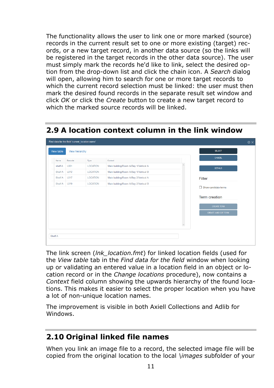The functionality allows the user to link one or more marked (source) records in the current result set to one or more existing (target) records, or a new target record, in another data source (so the links will be registered in the target records in the other data source). The user must simply mark the records he'd like to link, select the desired option from the drop-down list and click the chain icon. A *Search* dialog will open, allowing him to search for one or more target records to which the current record selection must be linked: the user must then mark the desired found records in the separate result set window and click *OK* or click the *Create* button to create a new target record to which the marked source records will be linked.

|         |            |                | Find data for the field 'current_location.name' |                                       |              |                      | $\circledcirc$ X |
|---------|------------|----------------|-------------------------------------------------|---------------------------------------|--------------|----------------------|------------------|
|         | View table | View hierarchy |                                                 |                                       |              | <b>SELECT</b>        |                  |
|         | Name       | Barcode        | Type                                            | Context                               |              | CANCEL               |                  |
|         | shelf A    | L001           | <b>LOCATION</b>                                 | Main building/Room A/Bay 1/Vertical A |              |                      |                  |
|         | Shelf A    | L012           | <b>LOCATION</b>                                 | Main building/Room A/Bay 1/Vertical B |              | <b>DETAILS</b>       |                  |
|         | Shelf A    | L017           | LOCATION                                        | Main building/Room A/Bay 2/Vertical A |              | Filter               |                  |
|         | Shelf A    | L019           | <b>LOCATION</b>                                 | Main building/Room A/Bay 2/Vertical B |              |                      |                  |
|         |            |                |                                                 |                                       |              | Show candidate terms |                  |
|         |            |                |                                                 |                                       |              | <b>Term creation</b> |                  |
|         |            |                |                                                 |                                       |              | <b>CREATE TERM</b>   |                  |
|         |            |                |                                                 |                                       |              | CREATE AND EDIT TERM |                  |
|         |            |                |                                                 |                                       |              |                      |                  |
|         |            |                |                                                 |                                       | $\checkmark$ |                      |                  |
|         |            |                |                                                 |                                       |              |                      |                  |
| Shelf A |            |                |                                                 |                                       |              |                      |                  |
|         |            |                |                                                 |                                       |              |                      |                  |

#### **2.9 A location context column in the link window**

The link screen (*lnk\_location.fmt*) for linked location fields (used for the *View table* tab in the *Find data for the field* window when looking up or validating an entered value in a location field in an object or location record or in the *Change locations* procedure), now contains a *Context* field column showing the upwards hierarchy of the found locations. This makes it easier to select the proper location when you have a lot of non-unique location names.

The improvement is visible in both Axiell Collections and Adlib for Windows.

#### **2.10 Original linked file names**

When you link an image file to a record, the selected image file will be copied from the original location to the local *\images* subfolder of your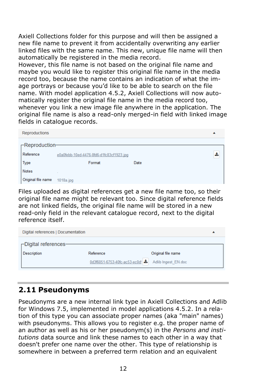Axiell Collections folder for this purpose and will then be assigned a new file name to prevent it from accidentally overwriting any earlier linked files with the same name. This new, unique file name will then automatically be registered in the media record.

However, this file name is not based on the original file name and maybe you would like to register this original file name in the media record too, because the name contains an indication of what the image portrays or because you'd like to be able to search on the file name. With model application 4.5.2, Axiell Collections will now automatically register the original file name in the media record too, whenever you link a new image file anywhere in the application. The original file name is also a read-only merged-in field with linked image fields in catalogue records.

| Reproductions          |                                          |      | ▴ |
|------------------------|------------------------------------------|------|---|
| $\Gamma$ Reproduction- |                                          |      |   |
| Reference              | e0a0febb-10ed-4476-8fd6-d1fc83cf1923.jpg |      | 소 |
| <b>Type</b>            | Format                                   | Date |   |
| <b>Notes</b>           |                                          |      |   |
| Original file name     | $1018a$ .jpg                             |      |   |

Files uploaded as digital references get a new file name too, so their original file name might be relevant too. Since digital reference fields are not linked fields, the original file name will be stored in a new read-only field in the relevant catalogue record, next to the digital reference itself.

| Digital references   Documentation              |                                                                  |                    |  |
|-------------------------------------------------|------------------------------------------------------------------|--------------------|--|
| $\Box$ Digital references<br><b>Description</b> | Reference<br>0d3f6051-6753-40fc-ac53-ec0d! & Adlib Ingest_EN.doc | Original file name |  |

#### **2.11 Pseudonyms**

Pseudonyms are a new internal link type in Axiell Collections and Adlib for Windows 7.5, implemented in model applications 4.5.2. In a relation of this type you can associate proper names (aka "main" names) with pseudonyms. This allows you to register e.g. the proper name of an author as well as his or her pseudonym(s) in the *Persons and institutions* data source and link these names to each other in a way that doesn't prefer one name over the other. This type of relationship is somewhere in between a preferred term relation and an equivalent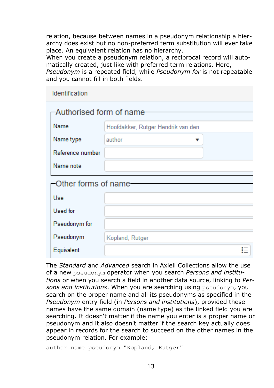relation, because between names in a pseudonym relationship a hierarchy does exist but no non-preferred term substitution will ever take place. An equivalent relation has no hierarchy.

When you create a pseudonym relation, a reciprocal record will automatically created, just like with preferred term relations. Here,

*Pseudonym* is a repeated field, while *Pseudonym for* is not repeatable and you cannot fill in both fields.

| <b>Identification</b>     |                                    |
|---------------------------|------------------------------------|
| -Authorised form of name- |                                    |
| Name                      | Hoofdakker, Rutger Hendrik van den |
| Name type                 | author                             |
| Reference number          |                                    |
| Name note                 |                                    |
| Other forms of name-      |                                    |
| Use                       |                                    |
| Used for                  |                                    |
| Pseudonym for             |                                    |
| Pseudonym                 | Kopland, Rutger                    |
| Equivalent                |                                    |

The *Standard* and *Advanced* search in Axiell Collections allow the use of a new pseudonym operator when you search *Persons and institutions* or when you search a field in another data source, linking to *Persons and institutions*. When you are searching using pseudonym, you search on the proper name and all its pseudonyms as specified in the *Pseudonym* entry field (in *Persons and institutions*), provided these names have the same domain (name type) as the linked field you are searching. It doesn't matter if the name you enter is a proper name or pseudonym and it also doesn't matter if the search key actually does appear in records for the search to succeed on the other names in the pseudonym relation. For example:

author.name pseudonym "Kopland, Rutger"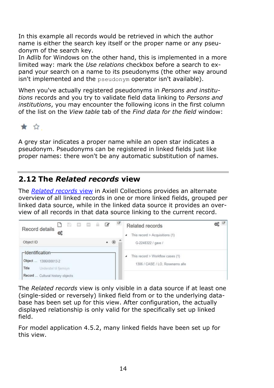In this example all records would be retrieved in which the author name is either the search key itself or the proper name or any pseudonym of the search key.

In Adlib for Windows on the other hand, this is implemented in a more limited way: mark the *Use relations* checkbox before a search to expand your search on a name to its pseudonyms (the other way around isn't implemented and the pseudonym operator isn't available).

When you've actually registered pseudonyms in *Persons and institutions* records and you try to validate field data linking to *Persons and institutions*, you may encounter the following icons in the first column of the list on the *View table* tab of the *Find data for the field* window:

#### ★ ☆

A grey star indicates a proper name while an open star indicates a pseudonym. Pseudonyms can be registered in linked fields just like proper names: there won't be any automatic substitution of names.

#### **2.12 The** *Related records* **view**

The *[Related records](http://documentation.axiell.com/alm/collections/en/index.html?ac_viewstherelatedrecordsview.html)* view in Axiell Collections provides an alternate overview of all linked records in one or more linked fields, grouped per linked data source, while in the linked data source it provides an overview of all records in that data source linking to the current record.



The *Related records* view is only visible in a data source if at least one (single-sided or reversely) linked field from or to the underlying database has been set up for this view. After configuration, the actually displayed relationship is only valid for the specifically set up linked field.

For model application 4.5.2, many linked fields have been set up for this view.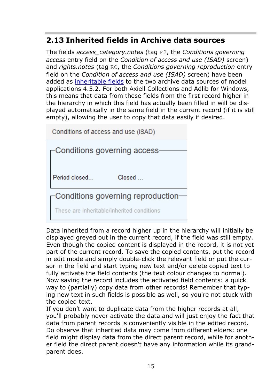#### **2.13 Inherited fields in Archive data sources**

The fields *access\_category.notes* (tag F2, the *Conditions governing access* entry field on the *Condition of access and use (ISAD)* screen) and *rights.notes* (tag RO, the *Conditions governing reproduction* entry field on the *Condition of access and use (ISAD)* screen) have been added as [inheritable fields](http://documentation.axiell.com/alm/en/ds_releasenotes7_3.html#inheritablefields) to the two archive data sources of model applications 4.5.2. For both Axiell Collections and Adlib for Windows, this means that data from these fields from the first record higher in the hierarchy in which this field has actually been filled in will be displayed automatically in the same field in the current record (if it is still empty), allowing the user to copy that data easily if desired.

Conditions of access and use (ISAD)

| $\sqsubset$ Conditions governing access-    |
|---------------------------------------------|
|                                             |
| Period closed<br>Closed                     |
| $\Gamma$ Conditions governing reproduction— |
| These are inheritable/inherited conditions  |

Data inherited from a record higher up in the hierarchy will initially be displayed greyed out in the current record, if the field was still empty. Even though the copied content is displayed in the record, it is not yet part of the current record. To save the copied contents, put the record in edit mode and simply double-click the relevant field or put the cursor in the field and start typing new text and/or delete copied text to fully activate the field contents (the text colour changes to normal). Now saving the record includes the activated field contents: a quick way to (partially) copy data from other records! Remember that typing new text in such fields is possible as well, so you're not stuck with the copied text.

If you don't want to duplicate data from the higher records at all, you'll probably never activate the data and will just enjoy the fact that data from parent records is conveniently visible in the edited record. Do observe that inherited data may come from different elders: one field might display data from the direct parent record, while for another field the direct parent doesn't have any information while its grandparent does.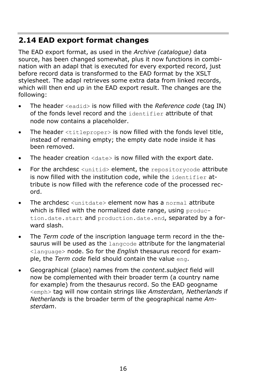#### **2.14 EAD export format changes**

The EAD export format, as used in the *Archive (catalogue)* data source, has been changed somewhat, plus it now functions in combination with an adapl that is executed for every exported record, just before record data is transformed to the EAD format by the XSLT stylesheet. The adapl retrieves some extra data from linked records, which will then end up in the EAD export result. The changes are the following:

- The header <eadid> is now filled with the *Reference code* (tag IN) of the fonds level record and the identifier attribute of that node now contains a placeholder.
- The header <titleproper> is now filled with the fonds level title, instead of remaining empty; the empty date node inside it has been removed.
- The header creation  $\langle \text{date} \rangle$  is now filled with the export date.
- For the archdesc <unitid> element, the repositorycode attribute is now filled with the institution code, while the identifier attribute is now filled with the reference code of the processed record.
- The archdesc  $\langle$ unitdate> element now has a normal attribute which is filled with the normalized date range, using production.date.start and production.date.end, separated by a forward slash.
- The *Term code* of the inscription language term record in the thesaurus will be used as the langcode attribute for the langmaterial <language> node. So for the *English* thesaurus record for example, the *Term code* field should contain the value eng.
- Geographical (place) names from the *content.subject* field will now be complemented with their broader term (a country name for example) from the thesaurus record. So the EAD geogname <emph> tag will now contain strings like *Amsterdam, Netherlands* if *Netherlands* is the broader term of the geographical name *Amsterdam*.